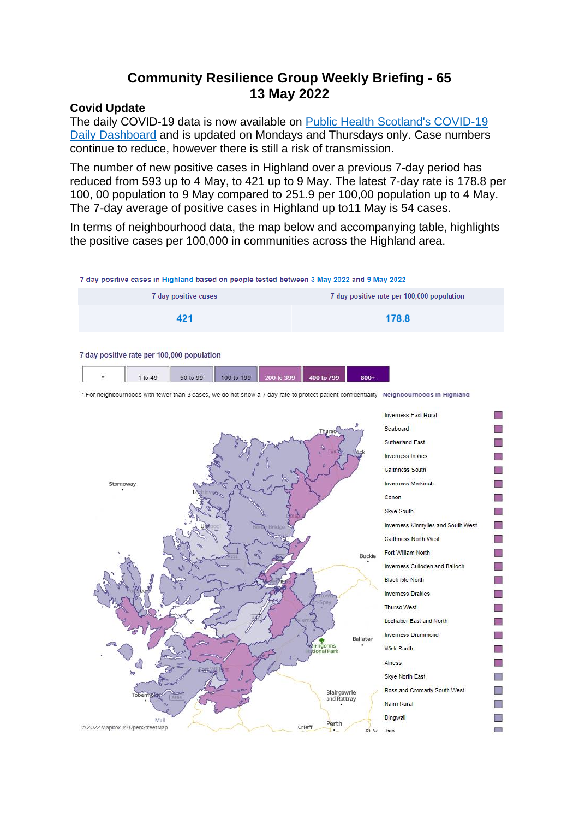# **Community Resilience Group Weekly Briefing - 65 13 May 2022**

#### **Covid Update**

The daily COVID-19 data is now available on [Public Health Scotland's COVID-19](https://public.tableau.com/app/profile/phs.covid.19/viz/COVID-19DailyDashboard_15960160643010/Dailyupdate)  [Daily Dashboard](https://public.tableau.com/app/profile/phs.covid.19/viz/COVID-19DailyDashboard_15960160643010/Dailyupdate) and is updated on Mondays and Thursdays only. Case numbers continue to reduce, however there is still a risk of transmission.

The number of new positive cases in Highland over a previous 7-day period has reduced from 593 up to 4 May, to 421 up to 9 May. The latest 7-day rate is 178.8 per 100, 00 population to 9 May compared to 251.9 per 100,00 population up to 4 May. The 7-day average of positive cases in Highland up to11 May is 54 cases.

In terms of neighbourhood data, the map below and accompanying table, highlights the positive cases per 100,000 in communities across the Highland area.

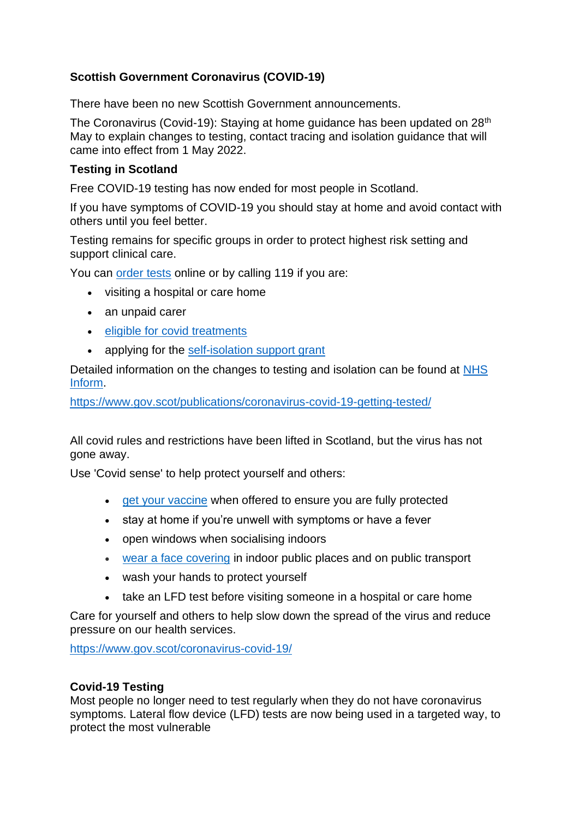## **Scottish Government Coronavirus (COVID-19)**

There have been no new Scottish Government announcements.

The Coronavirus (Covid-19): Staving at home guidance has been updated on 28<sup>th</sup> May to explain changes to testing, contact tracing and isolation guidance that will came into effect from 1 May 2022.

## **Testing in Scotland**

Free COVID-19 testing has now ended for most people in Scotland.

If you have symptoms of COVID-19 you should stay at home and avoid contact with others until you feel better.

Testing remains for specific groups in order to protect highest risk setting and support clinical care.

You can [order tests](https://www.gov.uk/order-coronavirus-rapid-lateral-flow-tests) online or by calling 119 if you are:

- visiting a hospital or care home
- an unpaid carer
- [eligible for covid treatments](https://www.nhsinform.scot/covid19treatments)
- applying for the [self-isolation support grant](http://www.mygov.scot/self-isolation-grant)

Detailed information on the changes to testing and isolation can be found at [NHS](http://www.nhsinform.scot/covid19)  [Inform.](http://www.nhsinform.scot/covid19)

<https://www.gov.scot/publications/coronavirus-covid-19-getting-tested/>

All covid rules and restrictions have been lifted in Scotland, but the virus has not gone away.

Use 'Covid sense' to help protect yourself and others:

- get [your vaccine](http://www.nhsinform.scot/covid-19-vaccine/) when offered to ensure you are fully protected
- stay at home if you're unwell with symptoms or have a fever
- open windows when socialising indoors
- wear [a face covering](https://www.gov.scot/publications/coronavirus-covid-19-staying-safe-and-protecting-others/pages/face-coverings/) in indoor public places and on public transport
- wash your hands to protect yourself
- take an LFD test before visiting someone in a hospital or care home

Care for yourself and others to help slow down the spread of the virus and reduce pressure on our health services.

<https://www.gov.scot/coronavirus-covid-19/>

## **Covid-19 Testing**

Most people no longer need to test regularly when they do not have coronavirus symptoms. Lateral flow device (LFD) tests are now being used in a targeted way, to protect the most vulnerable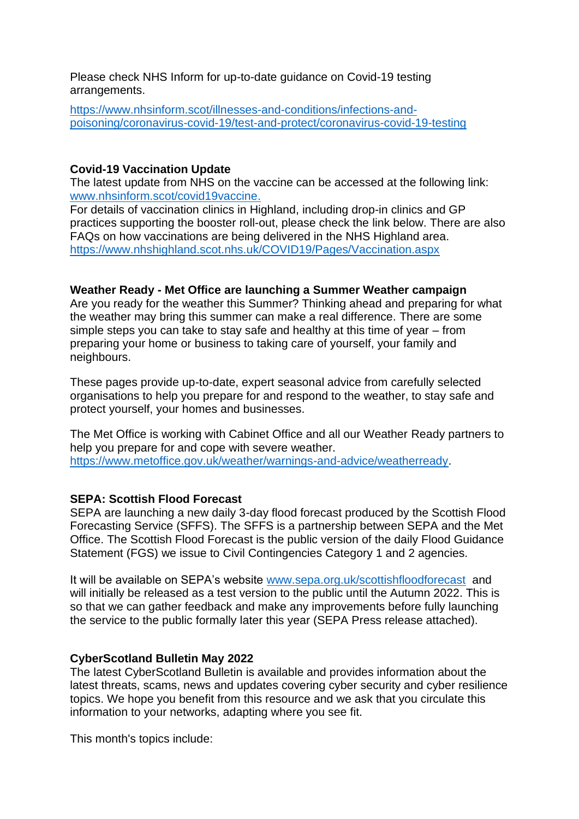Please check NHS Inform for up-to-date guidance on Covid-19 testing arrangements.

[https://www.nhsinform.scot/illnesses-and-conditions/infections-and](https://www.nhsinform.scot/illnesses-and-conditions/infections-and-poisoning/coronavirus-covid-19/test-and-protect/coronavirus-covid-19-testing)[poisoning/coronavirus-covid-19/test-and-protect/coronavirus-covid-19-testing](https://www.nhsinform.scot/illnesses-and-conditions/infections-and-poisoning/coronavirus-covid-19/test-and-protect/coronavirus-covid-19-testing)

## **Covid-19 Vaccination Update**

The latest update from NHS on the vaccine can be accessed at the following link: [www.nhsinform.scot/covid19vaccine.](http://www.nhsinform.scot/covid19vaccine)

For details of vaccination clinics in Highland, including drop-in clinics and GP practices supporting the booster roll-out, please check the link below. There are also FAQs on how vaccinations are being delivered in the NHS Highland area. <https://www.nhshighland.scot.nhs.uk/COVID19/Pages/Vaccination.aspx>

## **Weather Ready - Met Office are launching a Summer Weather campaign**

Are you ready for the weather this Summer? Thinking ahead and preparing for what the weather may bring this summer can make a real difference. There are some simple steps you can take to stay safe and healthy at this time of year – from preparing your home or business to taking care of yourself, your family and neighbours.

These pages provide up-to-date, expert seasonal advice from carefully selected organisations to help you prepare for and respond to the weather, to stay safe and protect yourself, your homes and businesses.

The Met Office is working with Cabinet Office and all our Weather Ready partners to help you prepare for and cope with severe weather. [https://www.metoffice.gov.uk/weather/warnings-and-advice/weatherready.](https://www.metoffice.gov.uk/weather/warnings-and-advice/weatherready)

## **SEPA: Scottish Flood Forecast**

SEPA are launching a new daily 3-day flood forecast produced by the Scottish Flood Forecasting Service (SFFS). The SFFS is a partnership between SEPA and the Met Office. The Scottish Flood Forecast is the public version of the daily Flood Guidance Statement (FGS) we issue to Civil Contingencies Category 1 and 2 agencies.

It will be available on SEPA's website [www.sepa.org.uk/scottishfloodforecast](http://www.sepa.org.uk/scottishfloodforecast) and will initially be released as a test version to the public until the Autumn 2022. This is so that we can gather feedback and make any improvements before fully launching the service to the public formally later this year (SEPA Press release attached).

## **CyberScotland Bulletin May 2022**

The latest CyberScotland Bulletin is available and provides information about the latest threats, scams, news and updates covering cyber security and cyber resilience topics. We hope you benefit from this resource and we ask that you circulate this information to your networks, adapting where you see fit.

This month's topics include: